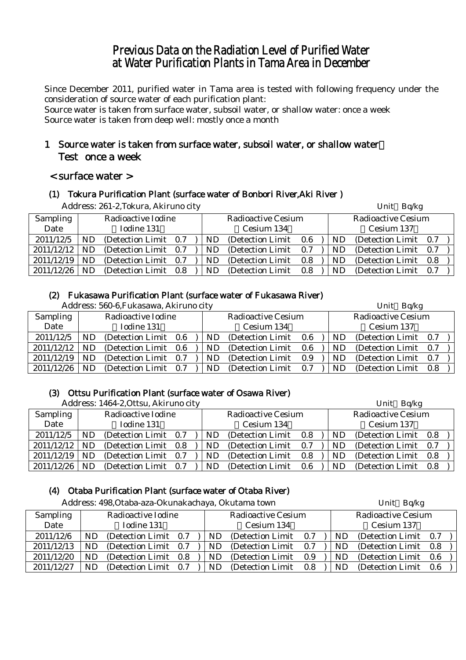## Previous Data on the Radiation Level of Purified Water at Water Purification Plants in Tama Area in December

Since December 2011, purified water in Tama area is tested with following frequency under the consideration of source water of each purification plant:

Source water is taken from surface water, subsoil water, or shallow water: once a week Source water is taken from deep well: mostly once a month

## 1 Source water is taken from surface water, subsoil water, or shallow water: Test once a week

## < surface water >

#### (1) Tokura Purification Plant (surface water of Bonbori River,Aki River )

|                 |           | Address: 261-2, Tokura, Akiruno city |     |                       |     |     | Unit Bq/kg                |  |
|-----------------|-----------|--------------------------------------|-----|-----------------------|-----|-----|---------------------------|--|
| <b>Sampling</b> |           | Radioactive Iodine                   |     | Radioactive Cesium    |     |     | <b>Radioactive Cesium</b> |  |
| Date            |           | Iodine 131                           |     | Cesium 134            |     |     | Cesium 137                |  |
| 2011/12/5       | <b>ND</b> | (Detection Limit 0.7)                | ND. | (Detection Limit 0.6) |     | ND. | (Detection Limit 0.7)     |  |
| 2011/12/12      | <b>ND</b> | (Detection Limit 0.7)                | ND. | (Detection Limit)     | 0.7 | ND. | (Detection Limit 0.7)     |  |
| 2011/12/19      | <b>ND</b> | (Detection Limit 0.7)                | ND. | (Detection Limit)     | 0.8 | ND  | (Detection Limit 0.8)     |  |
| 2011/12/26      | <b>ND</b> | (Detection Limit 0.8)                | ND  | (Detection Limit)     | 0.8 | ND  | (Detection Limit 0.7)     |  |

## (2) Fukasawa Purification Plant (surface water of Fukasawa River)

|            |    | Address: 560-6, Fukasawa, Akiruno city |  |    |                           |         |    | Unit Bq/kg                |  |
|------------|----|----------------------------------------|--|----|---------------------------|---------|----|---------------------------|--|
| Sampling   |    | Radioactive Iodine                     |  |    | <b>Radioactive Cesium</b> |         |    | <b>Radioactive Cesium</b> |  |
| Date       |    | Iodine 131                             |  |    | Cesium 134                |         |    | Cesium 137                |  |
| 2011/12/5  |    | (Detection Limit 0.6)                  |  | ND | (Detection Limit)         | $0.6\,$ | ND | (Detection Limit 0.7)     |  |
| 2011/12/12 |    | (Detection Limit 0.6)                  |  | ND | (Detection Limit)         | 0.6     | ND | (Detection Limit 0.7)     |  |
| 2011/12/19 | ND | (Detection Limit 0.7)                  |  | ND | (Detection Limit)         | 0.9     | ND | (Detection Limit 0.7)     |  |
| 2011/12/26 |    | (Detection Limit 0.7)                  |  | ND | (Detection Limit)         | 0.7     | ND | (Detection Limit 0.8)     |  |

## (3) Ottsu Purification Plant (surface water of Osawa River)

|                 |    | Address: 1464-2, Ottsu, Akiruno city |  |     |                           |     |     | Unit Bq/kg                |  |
|-----------------|----|--------------------------------------|--|-----|---------------------------|-----|-----|---------------------------|--|
| <b>Sampling</b> |    | Radioactive Iodine                   |  |     | <b>Radioactive Cesium</b> |     |     | <b>Radioactive Cesium</b> |  |
| Date            |    | Iodine 131                           |  |     | Cesium 134                |     |     | Cesium 137                |  |
| 2011/12/5       | ND | (Detection Limit 0.7)                |  | ND. | (Detection Limit)         | 0.8 | ND. | (Detection Limit 0.8)     |  |
| 2011/12/12      | ND | (Detection Limit 0.8)                |  | ND. | (Detection Limit)         | 0.7 | ND. | (Detection Limit 0.7)     |  |
| 2011/12/19      | ND | (Detection Limit 0.7)                |  | ND. | (Detection Limit)         | 0.8 | ND  | (Detection Limit 0.8)     |  |
| 2011/12/26      | ND | (Detection Limit 0.7)                |  | ND  | (Detection Limit)         | 0.6 | ND  | (Detection Limit 0.8)     |  |

## (4) Otaba Purification Plant (surface water of Otaba River)

|                 |    | Address: 498, Otaba-aza-Okunakachaya, Okutama town |     |     |                           |     |           | Unit Bq/kg                |  |
|-----------------|----|----------------------------------------------------|-----|-----|---------------------------|-----|-----------|---------------------------|--|
| <b>Sampling</b> |    | Radioactive Iodine                                 |     |     | <b>Radioactive Cesium</b> |     |           | <b>Radioactive Cesium</b> |  |
| Date            |    | Iodine 131                                         |     |     | Cesium 134                |     |           | Cesium 137                |  |
| 2011/12/6       | ND | (Detection Limit 0.7)                              |     | ND. | (Detection Limit 0.7)     |     | ND.       | (Detection Limit 0.7)     |  |
| 2011/12/13      | ND | (Detection Limit 0.7)                              |     | ND. | (Detection Limit)         | 0.7 | <b>ND</b> | (Detection Limit 0.8)     |  |
| 2011/12/20      | ND | (Detection Limit 0.8)                              |     | ND  | (Detection Limit)         | 0.9 | <b>ND</b> | (Detection Limit 0.6      |  |
| 2011/12/27      | ND | (Detection Limit)                                  | 0.7 | ND  | (Detection Limit)         | 0.8 | <b>ND</b> | (Detection Limit 0.6)     |  |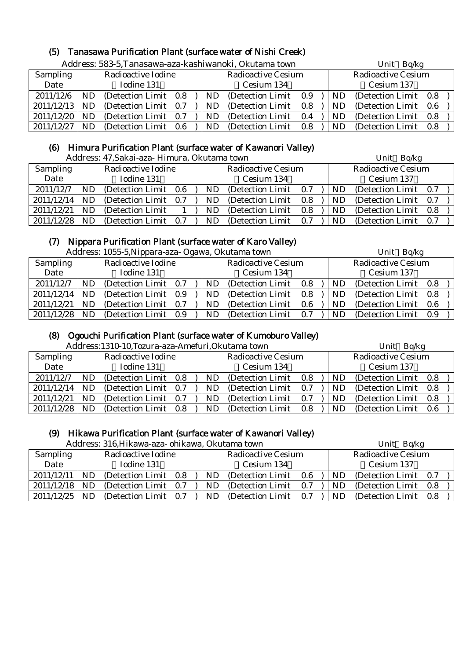# (5) Tanasawa Purification Plant (surface water of Nishi Creek)

|            |     |                       |     |     | Address: 583-5, Tanasawa-aza-kashiwanoki, Okutama town |     | Unit Bq/kg |                           |     |  |
|------------|-----|-----------------------|-----|-----|--------------------------------------------------------|-----|------------|---------------------------|-----|--|
| Sampling   |     | Radioactive Iodine    |     |     | <b>Radioactive Cesium</b>                              |     |            | <b>Radioactive Cesium</b> |     |  |
| Date       |     | Iodine 131            |     |     | Cesium 134                                             |     |            | Cesium 137                |     |  |
| 2011/12/6  | ND  | (Detection Limit 0.8) |     | ND. | (Detection Limit)                                      | 0.9 | ND         | (Detection Limit 0.8)     |     |  |
| 2011/12/13 | ND  | (Detection Limit 0.7) |     | ND. | (Detection Limit)                                      | 0.8 | ND         | (Detection Limit)         | 0.6 |  |
| 2011/12/20 | ND  | (Detection Limit 0.7) |     | ND. | (Detection Limit)                                      | 0.4 | ND         | (Detection Limit)         | 0.8 |  |
| 2011/12/27 | ND. | (Detection Limit)     | 0.6 | ND  | (Detection Limit)                                      | 0.8 | ND         | (Detection Limit)         | 0.8 |  |

## (6) Himura Purification Plant (surface water of Kawanori Valley)

| Address: 47, Sakai-aza - Himura, Okutama town | Unit Bq/kg |  |
|-----------------------------------------------|------------|--|
|-----------------------------------------------|------------|--|

|                 |    | 7 iyah cəsi, 77 illərin azal Timiyata, Originan təmir |     |           |                           |     |  | $UIIIU$ $D\Psi$ <sub><math>R\Xi</math></sub> |                       |     |  |  |  |
|-----------------|----|-------------------------------------------------------|-----|-----------|---------------------------|-----|--|----------------------------------------------|-----------------------|-----|--|--|--|
| <b>Sampling</b> |    | Radioactive Iodine                                    |     |           | <b>Radioactive Cesium</b> |     |  | <b>Radioactive Cesium</b>                    |                       |     |  |  |  |
| Date            |    | Iodine 131                                            |     |           | Cesium 134                |     |  |                                              | Cesium 137            |     |  |  |  |
| 2011/12/7       | ND | (Detection Limit 0.6)                                 |     | <b>ND</b> | (Detection Limit)         | 0.7 |  | ND.                                          | (Detection Limit 0.7) |     |  |  |  |
| 2011/12/14      | ND | (Detection Limit 0.7)                                 |     | ND.       | (Detection Limit)         | 0.8 |  | ND.                                          | (Detection Limit 0.7) |     |  |  |  |
| 2011/12/21      | ND | (Detection Limit)                                     |     | <b>ND</b> | (Detection Limit)         | 0.8 |  | ND                                           | (Detection Limit 0.8) |     |  |  |  |
| 2011/12/28      | ND | (Detection Limit)                                     | 0.7 | ND        | (Detection Limit)         | 0.7 |  | ND                                           | (Detection Limit)     | 0.7 |  |  |  |

## (7) Nippara Purification Plant (surface water of Karo Valley)

|            |    | Address: 1055-5, Nippara-aza- Ogawa, Okutama town |  |     |                           |       |     | Unit Bq/kg                |  |
|------------|----|---------------------------------------------------|--|-----|---------------------------|-------|-----|---------------------------|--|
| Sampling   |    | Radioactive Iodine                                |  |     | <b>Radioactive Cesium</b> |       |     | <b>Radioactive Cesium</b> |  |
| Date       |    | Iodine 131                                        |  |     | Cesium 134                |       |     | Cesium 137                |  |
| 2011/12/7  | ND | (Detection Limit 0.7)                             |  | ND. | (Detection Limit)         | 0.8   | ND. | (Detection Limit 0.8)     |  |
| 2011/12/14 | ND | (Detection Limit 0.9)                             |  | ND. | (Detection Limit)         | 0.8   | ND. | (Detection Limit 0.8)     |  |
| 2011/12/21 | ND | (Detection Limit 0.7)                             |  | ND  | (Detection Limit)         | 0.6   | ND  | (Detection Limit 0.6)     |  |
| 2011/12/28 | ND | (Detection Limit 0.9)                             |  | ND. | (Detection Limit)         | - 0.7 | ND. | (Detection Limit 0.9)     |  |

#### (8) Ogouchi Purification Plant (surface water of Kumoburo Valley)

Address:1310-10,Tozura-aza-Amefuri,Okutama town Unit Bq/kg

|            |           | Tradi coolito itolitoligi alla Thinoi alli ontarania tohili |     |                           |         |            | $\sum_{i=1}^{n}$          |     |  |  |
|------------|-----------|-------------------------------------------------------------|-----|---------------------------|---------|------------|---------------------------|-----|--|--|
| Sampling   |           | Radioactive Iodine                                          |     | <b>Radioactive Cesium</b> |         |            | <b>Radioactive Cesium</b> |     |  |  |
| Date       |           | Iodine 131                                                  |     | Cesium 134                |         | Cesium 137 |                           |     |  |  |
| 2011/12/7  | ND        | (Detection Limit 0.8)                                       | ND. | (Detection Limit)         | 0.8     | ND         | (Detection Limit 0.8)     |     |  |  |
| 2011/12/14 | <b>ND</b> | (Detection Limit 0.7)                                       | ND  | (Detection Limit)         | 0.7     | <b>ND</b>  | (Detection Limit 0.8)     |     |  |  |
| 2011/12/21 | ND        | (Detection Limit 0.7)                                       | ND  | (Detection Limit)         | 0.7     | ND         | (Detection Limit 0.8)     |     |  |  |
| 2011/12/28 | ND        | (Detection Limit 0.8)                                       | ND  | (Detection Limit)         | $0.8\,$ | ND         | (Detection Limit)         | 0.6 |  |  |

## (9) Hikawa Purification Plant (surface water of Kawanori Valley)

Address: 316,Hikawa-aza- ohikawa, Okutama town Unit Bq/kg

|                 |    | Autress, 510,111Kawa-aza- 011IKawa, OKUtania towif |     |    |                           |     |    | UIIIL DU/Ng               |     |  |
|-----------------|----|----------------------------------------------------|-----|----|---------------------------|-----|----|---------------------------|-----|--|
| <b>Sampling</b> |    | Radioactive Iodine                                 |     |    | <b>Radioactive Cesium</b> |     |    | <b>Radioactive Cesium</b> |     |  |
| Date            |    | Iodine 131                                         |     |    | Cesium 134                |     |    | Cesium 137                |     |  |
| 2011/12/11      | ND | (Detection Limit)                                  | 0.8 | ND | (Detection Limit)         | 0.6 | ND | (Detection Limit 0.7)     |     |  |
| 2011/12/18      | ND | (Detection Limit)                                  | 0.7 | ND | (Detection Limit)         | 0.7 | ND | (Detection Limit)         | 0.8 |  |
| 2011/12/25      | ND | (Detection Limit)                                  | 0.7 | ND | (Detection Limit)         | 0.7 | ND | (Detection Limit)         | 0.8 |  |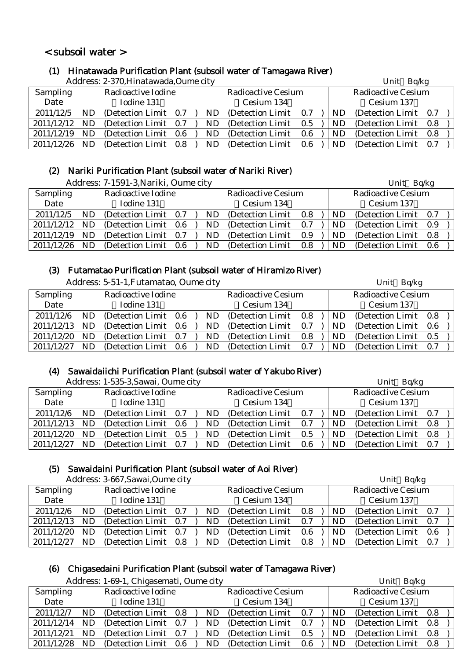## < subsoil water >

## (1) Hinatawada Purification Plant (subsoil water of Tamagawa River)

Address: 2-370,Hinatawada,Oume city Unit Bq/kg

|                 |           | Auditess. 2-370,I illiatawada,Oullite City |     |                           |     |           | UIIIL DU/Ng               |  |
|-----------------|-----------|--------------------------------------------|-----|---------------------------|-----|-----------|---------------------------|--|
| <b>Sampling</b> |           | Radioactive Iodine                         |     | <b>Radioactive Cesium</b> |     |           | <b>Radioactive Cesium</b> |  |
| Date            |           | Iodine 131                                 |     | Cesium 134                |     |           | Cesium 137                |  |
| 2011/12/5       | ND        | (Detection Limit 0.7)                      | ND. | (Detection Limit)         | 0.7 | <b>ND</b> | (Detection Limit 0.7)     |  |
| 2011/12/12      | <b>ND</b> | (Detection Limit 0.7)                      | ND. | (Detection Limit)         | 0.5 | ND        | (Detection Limit 0.8)     |  |
| 2011/12/19      | <b>ND</b> | (Detection Limit 0.6)                      | ND. | (Detection Limit)         | 0.6 | ND        | (Detection Limit 0.8)     |  |
| 2011/12/26      | ND        | (Detection Limit 0.8)                      | ND  | (Detection Limit)         | 0.6 | <b>ND</b> | (Detection Limit 0.7)     |  |

## (2) Nariki Purification Plant (subsoil water of Nariki River)

|                 |    | Address: 7-1591-3, Nariki, Oume city |  |           |                           |     |           | Unit Bq/kg                |         |  |
|-----------------|----|--------------------------------------|--|-----------|---------------------------|-----|-----------|---------------------------|---------|--|
| <b>Sampling</b> |    | Radioactive Iodine                   |  |           | <b>Radioactive Cesium</b> |     |           | <b>Radioactive Cesium</b> |         |  |
| Date            |    | Iodine 131                           |  |           | Cesium 134                |     |           | Cesium 137                |         |  |
| 2011/12/5       | ND | (Detection Limit 0.7)                |  | <b>ND</b> | (Detection Limit)         | 0.8 | ND        | (Detection Limit 0.7)     |         |  |
| 2011/12/12      | ND | (Detection Limit 0.6)                |  | ND.       | (Detection Limit)         | 0.7 | <b>ND</b> | (Detection Limit 0.9)     |         |  |
| 2011/12/19      | ND | (Detection Limit 0.7)                |  | ND        | (Detection Limit)         | 0.9 | ND        | (Detection Limit)         | $0.8\,$ |  |
| 2011/12/26      | ND | (Detection Limit 0.6)                |  | ND        | (Detection Limit)         | 0.8 | <b>ND</b> | (Detection Limit)         | 0.6     |  |

## (3) Futamatao Purification Plant (subsoil water of Hiramizo River)

|            |           | Address: 5-51-1, Futamatao, Oume city | Unit Bq/kg |  |           |                           |     |            |                           |  |  |
|------------|-----------|---------------------------------------|------------|--|-----------|---------------------------|-----|------------|---------------------------|--|--|
| Sampling   |           | Radioactive Iodine                    |            |  |           | <b>Radioactive Cesium</b> |     |            | <b>Radioactive Cesium</b> |  |  |
| Date       |           | Iodine 131                            |            |  |           | Cesium 134                |     | Cesium 137 |                           |  |  |
| 2011/12/6  | ND        | (Detection Limit 0.6)                 |            |  | ND        | (Detection Limit)         | 0.8 | ND         | (Detection Limit 0.8)     |  |  |
| 2011/12/13 | ND        | (Detection Limit 0.6)                 |            |  | ND        | (Detection Limit)         | 0.7 | ND         | (Detection Limit 0.6)     |  |  |
| 2011/12/20 | <b>ND</b> | (Detection Limit)                     | 0.7        |  | <b>ND</b> | (Detection Limit)         | 0.8 | ND         | (Detection Limit 0.5)     |  |  |
| 2011/12/27 | ND        | (Detection Limit 0.6)                 |            |  | ND        | (Detection Limit)         | 0.7 | ND.        | (Detection Limit 0.7)     |  |  |

## (4) Sawaidaiichi Purification Plant (subsoil water of Yakubo River)

|                 | Address: 1-535-3, Sawai, Oume city |                       |  |  |            |                           |     |  | Unit Bq/kg |                           |  |  |  |
|-----------------|------------------------------------|-----------------------|--|--|------------|---------------------------|-----|--|------------|---------------------------|--|--|--|
| <b>Sampling</b> |                                    | Radioactive Iodine    |  |  |            | <b>Radioactive Cesium</b> |     |  |            | <b>Radioactive Cesium</b> |  |  |  |
| Date            |                                    | Iodine 131            |  |  | Cesium 134 |                           |     |  |            | Cesium 137                |  |  |  |
| 2011/12/6       | ND                                 | (Detection Limit 0.7) |  |  | ND         | (Detection Limit)         | 0.7 |  | ND.        | (Detection Limit 0.7)     |  |  |  |
| 2011/12/13      | ND                                 | (Detection Limit 0.6) |  |  | ND.        | (Detection Limit)         | 0.7 |  | ND         | (Detection Limit 0.8)     |  |  |  |
| 2011/12/20      | ND                                 | (Detection Limit 0.5) |  |  | ND         | (Detection Limit)         | 0.5 |  | ND.        | (Detection Limit 0.8)     |  |  |  |
| 2011/12/27      | ND                                 | (Detection Limit 0.7) |  |  | ND         | (Detection Limit)         | 0.6 |  | ND         | (Detection Limit 0.7)     |  |  |  |

#### (5) Sawaidaini Purification Plant (subsoil water of Aoi River)

|                 |    | Address: 3-667, Sawai, Oume city |     |     |                           |         | Unit Bq/kg |                    |     |  |
|-----------------|----|----------------------------------|-----|-----|---------------------------|---------|------------|--------------------|-----|--|
| <b>Sampling</b> |    | Radioactive Iodine               |     |     | <b>Radioactive Cesium</b> |         |            | Radioactive Cesium |     |  |
| Date            |    | Iodine 131                       |     |     | Cesium 134                |         |            | Cesium 137         |     |  |
| 2011/12/6       | ND | (Detection Limit 0.7)            |     | ND. | (Detection Limit)         | $0.8\,$ | ND.        | (Detection Limit)  | 0.7 |  |
| 2011/12/13      | ND | (Detection Limit 0.7)            |     | ND  | (Detection Limit)         | 0.7     | <b>ND</b>  | (Detection Limit)  | 0.7 |  |
| 2011/12/20      | ND | (Detection Limit)                | 0.7 | ND  | (Detection Limit)         | 0.6     | <b>ND</b>  | (Detection Limit)  | 0.6 |  |
| 2011/12/27      | ND | (Detection Limit)                | 0.8 | ND  | (Detection Limit)         | 0.8     | ND         | (Detection Limit)  | 0.7 |  |

## (6) Chigasedaini Purification Plant (subsoil water of Tamagawa River)

|            |           | Address: 1-69-1, Chigasemati, Oume city |  |     |                           |     | Unit Bq/kg     |                           |  |
|------------|-----------|-----------------------------------------|--|-----|---------------------------|-----|----------------|---------------------------|--|
| Sampling   |           | Radioactive Iodine                      |  |     | <b>Radioactive Cesium</b> |     |                | <b>Radioactive Cesium</b> |  |
| Date       |           | Iodine 131                              |  |     | Cesium 134                |     |                | Cesium 137                |  |
| 2011/12/7  | ND        | (Detection Limit 0.8)                   |  | ND. | (Detection Limit          | 0.7 | ND.            | (Detection Limit 0.8)     |  |
| 2011/12/14 | ND.       | (Detection Limit 0.7)                   |  | ND. | (Detection Limit)         | 0.7 | ND.            | (Detection Limit 0.8)     |  |
| 2011/12/21 | ND.       | (Detection Limit 0.7)                   |  | ND. | (Detection Limit)         | 0.5 | ND.            | (Detection Limit 0.8)     |  |
| 2011/12/28 | <b>ND</b> | (Detection Limit 0.6)                   |  | ND. | (Detection Limit)         | 0.6 | N <sub>D</sub> | (Detection Limit 0.8)     |  |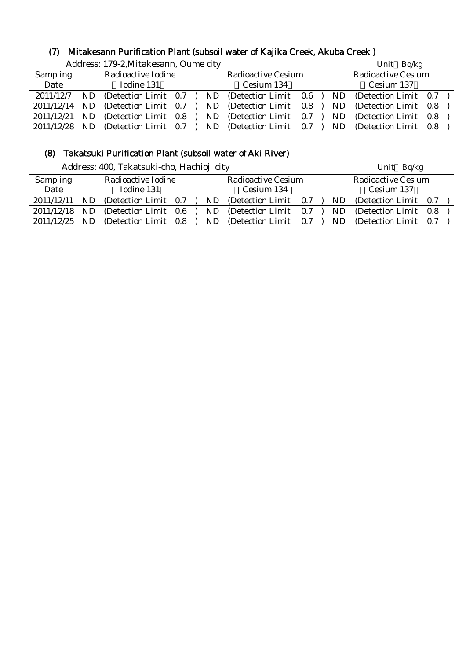## (7) Mitakesann Purification Plant (subsoil water of Kajika Creek, Akuba Creek )

|                 | Address: 179-2, Mitakesann, Oume city |                       |  |  |           |                           |     | Unit Bq/kg |                           |     |  |  |
|-----------------|---------------------------------------|-----------------------|--|--|-----------|---------------------------|-----|------------|---------------------------|-----|--|--|
| <b>Sampling</b> |                                       | Radioactive Iodine    |  |  |           | <b>Radioactive Cesium</b> |     |            | <b>Radioactive Cesium</b> |     |  |  |
| Date            |                                       | Iodine 131            |  |  |           | Cesium 134                |     |            | Cesium 137                |     |  |  |
| 2011/12/7       | <b>ND</b>                             | (Detection Limit 0.7) |  |  | ND.       | (Detection Limit 0.6)     |     | ND.        | (Detection Limit 0.7)     |     |  |  |
| 2011/12/14      | <b>ND</b>                             | (Detection Limit 0.7) |  |  | ND        | (Detection Limit 0.8)     |     | <b>ND</b>  | (Detection Limit 0.8)     |     |  |  |
| 2011/12/21      | <b>ND</b>                             | (Detection Limit 0.8) |  |  | <b>ND</b> | (Detection Limit 0.7)     |     | ND         | (Detection Limit 0.8)     |     |  |  |
| 2011/12/28      | ND                                    | (Detection Limit 0.7) |  |  | ND        | (Detection Limit)         | 0.7 | ND.        | (Detection Limit)         | 0.8 |  |  |

## (8) Takatsuki Purification Plant (subsoil water of Aki River)

|            |           | Address: 400, Takatsuki-cho, Hachioji city |     |     |                           |     | Unit Bq/kg |                           |     |  |
|------------|-----------|--------------------------------------------|-----|-----|---------------------------|-----|------------|---------------------------|-----|--|
| Sampling   |           | Radioactive Iodine                         |     |     | <b>Radioactive Cesium</b> |     |            | <b>Radioactive Cesium</b> |     |  |
| Date       |           | Iodine 131                                 |     |     | Cesium 134                |     |            | Cesium 137                |     |  |
| 2011/12/11 | <b>ND</b> | (Detection Limit 0.7)                      |     | ND. | (Detection Limit)         | 0.7 | ND         | (Detection Limit)         | 0.7 |  |
| 2011/12/18 | ND.       | (Detection Limit 0.6)                      |     | ND. | (Detection Limit)         | 0.7 | ND         | (Detection Limit 0.8)     |     |  |
| 2011/12/25 | ND.       | (Detection Limit                           | 0.8 | ND  | (Detection Limit)         | 0.7 | ND         | (Detection Limit 0.7)     |     |  |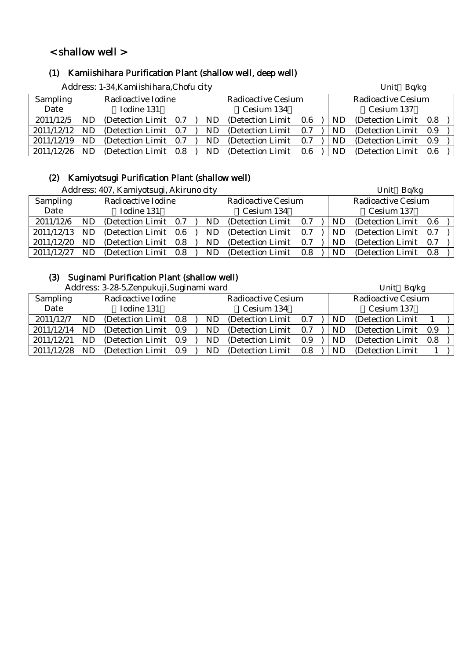## < shallow well >

## (1) Kamiishihara Purification Plant (shallow well, deep well)

|            |    | Address: 1-34, Kamiishihara, Chofu city |     |  |           |                           |     | Unit Bq/kg |     |                           |     |
|------------|----|-----------------------------------------|-----|--|-----------|---------------------------|-----|------------|-----|---------------------------|-----|
| Sampling   |    | Radioactive Iodine                      |     |  |           | <b>Radioactive Cesium</b> |     |            |     | <b>Radioactive Cesium</b> |     |
| Date       |    | Iodine 131                              |     |  |           | Cesium 134                |     |            |     | Cesium 137                |     |
| 2011/12/5  | ND | (Detection Limit 0.7)                   |     |  | <b>ND</b> | (Detection Limit)         | 0.6 |            | ND. | (Detection Limit 0.8)     |     |
| 2011/12/12 | ND | (Detection Limit 0.7)                   |     |  | ND.       | (Detection Limit)         | 0.7 |            | ND. | (Detection Limit 0.9)     |     |
| 2011/12/19 | ND | (Detection Limit 0.7)                   |     |  | ND        | (Detection Limit)         | 0.7 |            | ND  | (Detection Limit)         | 0.9 |
| 2011/12/26 | ND | (Detection Limit)                       | 0.8 |  | ND.       | (Detection Limit)         | 0.6 |            | ND. | (Detection Limit)         | 0.6 |

## (2) Kamiyotsugi Purification Plant (shallow well)

 $\Delta$ ddress:  $407$ , Kamiyotsugi, Akimuno city Unit Bq/kg

|                 |    | Address: 407, Kamiyotsugi, Akiruno city |  |           |                           |     |  |     | Unit Bq/kg                |     |  |  |  |  |
|-----------------|----|-----------------------------------------|--|-----------|---------------------------|-----|--|-----|---------------------------|-----|--|--|--|--|
| <b>Sampling</b> |    | Radioactive Iodine                      |  |           | <b>Radioactive Cesium</b> |     |  |     | <b>Radioactive Cesium</b> |     |  |  |  |  |
| Date            |    | Iodine 131                              |  |           | Cesium 134                |     |  |     | Cesium 137                |     |  |  |  |  |
| 2011/12/6       | ND | (Detection Limit 0.7)                   |  | ND        | (Detection Limit)         | 0.7 |  | ND  | (Detection Limit 0.6)     |     |  |  |  |  |
| 2011/12/13      | ND | (Detection Limit 0.6)                   |  | ND        | (Detection Limit)         | 0.7 |  | ND  | (Detection Limit)         | 0.7 |  |  |  |  |
| 2011/12/20      | ND | (Detection Limit 0.8)                   |  | <b>ND</b> | (Detection Limit)         | 0.7 |  | ND. | (Detection Limit)         | 0.7 |  |  |  |  |
| 2011/12/27      | ND | (Detection Limit 0.8)                   |  | ND        | (Detection Limit)         | 0.8 |  | ND  | (Detection Limit)         | 0.8 |  |  |  |  |

## (3) Suginami Purification Plant (shallow well)

Address: 3-28-5.Zenpukuji,Suginami ward Unit Bq/kg

|                 |    |                       |  |  |     |                           |     |  |           | $\sum_{i=1}^{n}$          |     |  |  |  |
|-----------------|----|-----------------------|--|--|-----|---------------------------|-----|--|-----------|---------------------------|-----|--|--|--|
| <b>Sampling</b> |    | Radioactive Iodine    |  |  |     | <b>Radioactive Cesium</b> |     |  |           | <b>Radioactive Cesium</b> |     |  |  |  |
| Date            |    | Iodine 131            |  |  |     | Cesium 134                |     |  |           | Cesium 137                |     |  |  |  |
| 2011/12/7       | ND | (Detection Limit 0.8) |  |  | ND. | (Detection Limit)         | 0.7 |  | ND        | (Detection Limit)         |     |  |  |  |
| 2011/12/14      | ND | (Detection Limit 0.9) |  |  | ND. | (Detection Limit)         | 0.7 |  | <b>ND</b> | (Detection Limit 0.9)     |     |  |  |  |
| 2011/12/21      | ND | (Detection Limit 0.9) |  |  | ND. | (Detection Limit)         | 0.9 |  | ND        | (Detection Limit)         | 0.8 |  |  |  |
| 2011/12/28      | ND | (Detection Limit 0.9) |  |  | ND. | (Detection Limit)         | 0.8 |  | <b>ND</b> | (Detection Limit)         |     |  |  |  |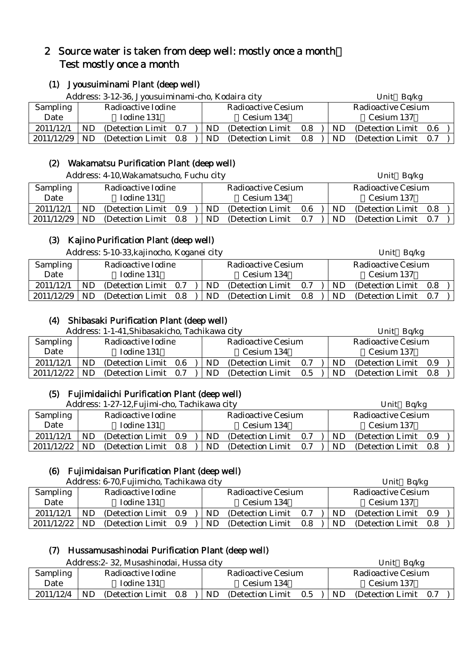## 2 Source water is taken from deep well: mostly once a month: Test mostly once a month

## (1) Jyousuiminami Plant (deep well)

|                 |    | Address: 3-12-36, Jyousuiminami-cho, Kodaira city |  |  |           |                           |     | Bq/kg<br>Unit |    |                           |     |  |
|-----------------|----|---------------------------------------------------|--|--|-----------|---------------------------|-----|---------------|----|---------------------------|-----|--|
| <b>Sampling</b> |    | Radioactive Iodine                                |  |  |           | <b>Radioactive Cesium</b> |     |               |    | <b>Radioactive Cesium</b> |     |  |
| Date            |    | Iodine 131                                        |  |  |           | Cesium 134                |     |               |    | Cesium 137                |     |  |
| 2011/12/1       | ND | (Detection Limit 0.7)                             |  |  | ND        | (Detection Limit)         | 0.8 |               | ND | (Detection Limit)         | 0.6 |  |
| 2011/12/29      | ND | (Detection Limit 0.8)                             |  |  | <b>ND</b> | (Detection Limit)         | 0.8 |               | ND | (Detection Limit)         | 0.7 |  |

## (2) Wakamatsu Purification Plant (deep well)

Address: 4-10, Wakamatsucho, Fuchu city Unit Bq/kg

| <b>Sampling</b> |           | Radioactive Iodine    |  |  |            | Radioactive Cesium |     |            | Radioactive Cesium |     |  |  |
|-----------------|-----------|-----------------------|--|--|------------|--------------------|-----|------------|--------------------|-----|--|--|
| Date            |           | Iodine 131            |  |  | Cesium 134 |                    |     | Cesium 137 |                    |     |  |  |
| 2011/12/1       | ND        | (Detection Limit 0.9) |  |  | <b>ND</b>  | (Detection Limit)  | 0.6 | ND         | (Detection Limit)  | 0.8 |  |  |
| 2011/12/29      | <b>ND</b> | (Detection Limit 0.8) |  |  | <b>ND</b>  | (Detection Limit)  | 0.7 | ND         | (Detection Limit)  | 0.7 |  |  |

## (3) Kajino Purification Plant (deep well)

Address: 5-10-33, kajinocho, Koganei city Unit Bq/kg

| <b>Sampling</b> |     | Radioactive Iodine    |  |            | Radioactive Cesium |     |     | Radioactive Cesium    |  |
|-----------------|-----|-----------------------|--|------------|--------------------|-----|-----|-----------------------|--|
| Date            |     | Iodine 131            |  | Cesium 134 |                    |     |     | Cesium 137            |  |
| 2011/12/1       | ND  | (Detection Limit 0.7) |  | ND         | (Detection Limit)  | 0.7 | ND  | (Detection Limit 0.8) |  |
| 2011/12/29      | ND. | (Detection Limit 0.8) |  | ND         | (Detection Limit)  | 0.8 | ND. | (Detection Limit 0.7) |  |

## (4) Shibasaki Purification Plant (deep well)

| Address: 1-1-41, Shibasakicho, Tachikawa city |     |                       |  |     |                           |         | Unit Bq/kg |     |                           |  |
|-----------------------------------------------|-----|-----------------------|--|-----|---------------------------|---------|------------|-----|---------------------------|--|
| Sampling                                      |     | Radioactive Iodine    |  |     | <b>Radioactive Cesium</b> |         |            |     | <b>Radioactive Cesium</b> |  |
| Date                                          |     | Iodine 131            |  |     | Cesium 134                |         |            |     | Cesium 137                |  |
| 2011/12/1                                     | ND  | (Detection Limit 0.6) |  | ND. | (Detection Limit)         | 0.7     |            | ND. | (Detection Limit 0.9)     |  |
| 2011/12/22                                    | ND. | (Detection Limit 0.7) |  | ND. | (Detection Limit)         | $0.5\,$ |            | ND. | (Detection Limit 0.8)     |  |

## (5) Fujimidaiichi Purification Plant (deep well)

| Address: 1-27-12, Fujimi-cho, Tachikawa city |    |                       |  |     |                    |     | Unit $Bq/kg$ |                       |  |
|----------------------------------------------|----|-----------------------|--|-----|--------------------|-----|--------------|-----------------------|--|
| Sampling                                     |    | Radioactive Iodine    |  |     | Radioactive Cesium |     |              | Radioactive Cesium    |  |
| Date                                         |    | Iodine 131            |  |     | Cesium 134         |     |              | Cesium 137            |  |
| 2011/12/1                                    | ND | (Detection Limit 0.9) |  | ND. | (Detection Limit)  | 0.7 | ND           | (Detection Limit 0.9) |  |
| 2011/12/22                                   | ND | (Detection Limit 0.8) |  | ND. | (Detection Limit)  | 0.7 | ND           | (Detection Limit 0.8) |  |

## (6) Fujimidaisan Purification Plant (deep well)

| Address: 6-70, Fujimicho, Tachikawa city |    |                       |     |     |                           |     | Bq/kg<br>Unit |                           |  |  |
|------------------------------------------|----|-----------------------|-----|-----|---------------------------|-----|---------------|---------------------------|--|--|
| Sampling                                 |    | Radioactive Iodine    |     |     | <b>Radioactive Cesium</b> |     |               | <b>Radioactive Cesium</b> |  |  |
| Date                                     |    | Iodine 131            |     |     | Cesium 134                |     |               | Cesium 137                |  |  |
| 2011/12/1                                | ND | (Detection Limit 0.9) |     | ND. | (Detection Limit)         | 0.7 | ND            | (Detection Limit 0.9)     |  |  |
| 2011/12/22                               | ND | (Detection Limit)     | 0.9 | ND. | (Detection Limit)         | 0.8 | ND            | (Detection Limit 0.8)     |  |  |

## (7) Hussamusashinodai Purification Plant (deep well)

Address:2- 32, Musashinodai, Hussa city Unit Bq/kg

|                 | Tradit Cools Os, Introductificati, I radoa City |                                | ◡…<br>----                        |
|-----------------|-------------------------------------------------|--------------------------------|-----------------------------------|
| <b>Sampling</b> | Radioactive Iodine                              | Radioactive Cesium             | Radioactive Cesium                |
| Date            | Iodine 131                                      | Cesium 134                     | Cesium 137                        |
| 2011/12/4       | ND<br>(Detection Limit)<br>0.8                  | ND<br>0.5<br>(Detection Limit) | ND.<br>(Detection Limit)<br>- 0.7 |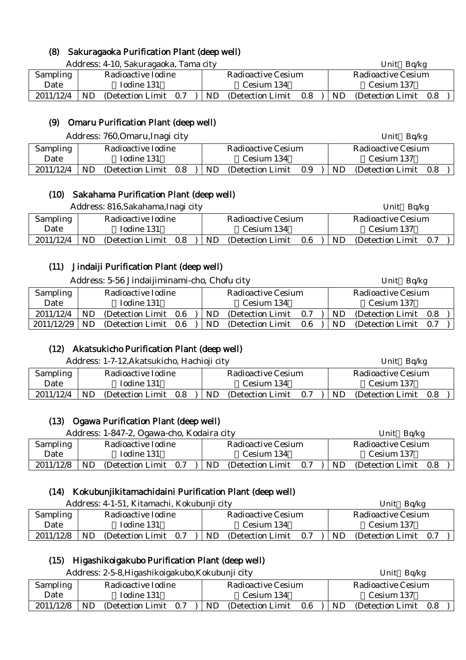## (8) Sakuragaoka Purification Plant (deep well)

Address: 4-10, Sakuragaoka, Tama city **Example 2018** Unit Bq/kg

| Sampling  | Radioactive Iodine             | Radioactive Cesium             | Radioactive Cesium      |
|-----------|--------------------------------|--------------------------------|-------------------------|
| Date      | Iodine 131                     | Cesium 134                     | Cesium 137              |
|           |                                |                                |                         |
| 2011/12/4 | ND<br>0.7<br>(Detection Limit) | ND<br>0.8<br>(Detection Limit) | ND<br>(Detection Limit) |

## (9) Omaru Purification Plant (deep well)

Address: 760,Omaru,Inagi city Unit Bq/kg

|                 |    | $1.001$ CDD. $1.00, 0.001$ CD, $0.001$ CHz, $0.001$ |    |                    |     |    | $UIIIU$ $UVIIB$    |     |  |
|-----------------|----|-----------------------------------------------------|----|--------------------|-----|----|--------------------|-----|--|
| <b>Sampling</b> |    | Radioactive Iodine                                  |    | Radioactive Cesium |     |    | Radioactive Cesium |     |  |
| Date            |    | Iodine 131                                          |    | Cesium 134         |     |    | Cesium 137         |     |  |
| 2011/12/4       | ND | (Detection Limit 0.8)                               | ND | (Detection Limit)  | 0.9 | ND | (Detection Limit)  | 0.8 |  |

## (10) Sakahama Purification Plant (deep well)

| Address: 816, Sakahama, Inagi city |    |                       |  |  |     |                           |         |           | Bq/kg<br>Unit             |     |  |
|------------------------------------|----|-----------------------|--|--|-----|---------------------------|---------|-----------|---------------------------|-----|--|
| Sampling                           |    | Radioactive Iodine    |  |  |     | <b>Radioactive Cesium</b> |         |           | <b>Radioactive Cesium</b> |     |  |
| Date                               |    | Iodine 131            |  |  |     | Cesium 134                |         |           | Cesium 137                |     |  |
| 2011/12/4                          | ND | (Detection Limit 0.8) |  |  | ND. | (Detection Limit)         | $0.6\,$ | <b>ND</b> | (Detection Limit)         | 0.7 |  |

## (11) Jindaiji Purification Plant (deep well)

| Address: 5-56 Jindaijiminami-cho, Chofu city |    |                    |         |  |           |                           | Unit Bq/kg |  |     |                           |     |  |
|----------------------------------------------|----|--------------------|---------|--|-----------|---------------------------|------------|--|-----|---------------------------|-----|--|
| Sampling                                     |    | Radioactive Iodine |         |  |           | <b>Radioactive Cesium</b> |            |  |     | <b>Radioactive Cesium</b> |     |  |
| Date                                         |    | Iodine 131         |         |  |           | Cesium 134                |            |  |     | Cesium 137                |     |  |
| 2011/12/4                                    | ND | (Detection Limit)  | 0.6     |  | <b>ND</b> | (Detection Limit)         | 0.7        |  | ND. | (Detection Limit 0.8)     |     |  |
| 2011/12/29                                   | ND | (Detection Limit)  | $0.6\,$ |  | ND        | (Detection Limit)         | 0.6        |  | ND  | (Detection Limit)         | 0.7 |  |

## (12) Akatsukicho Purification Plant (deep well)

|           | Address: 1-7-12, Akatsukicho, Hachioji city | Unit $Bq/kg$                    |                                    |  |
|-----------|---------------------------------------------|---------------------------------|------------------------------------|--|
| Sampling  | Radioactive Iodine                          | <b>Radioactive Cesium</b>       | <b>Radioactive Cesium</b>          |  |
| Date      | Iodine 131                                  | Cesium 134                      | Cesium 137                         |  |
| 2011/12/4 | ND<br>(Detection Limit)<br>0.8              | ND.<br>(Detection Limit)<br>0.7 | <b>ND</b><br>(Detection Limit 0.8) |  |

## (13) Ogawa Purification Plant (deep well)

|                 | Address: 1-847-2, Ogawa-cho, Kodaira city | Unit $Bq/kg$                    |                              |  |
|-----------------|-------------------------------------------|---------------------------------|------------------------------|--|
| <b>Sampling</b> | Radioactive Iodine                        | Radioactive Cesium              | Radioactive Cesium           |  |
| Date            | Iodine 131                                | Cesium 134                      | Cesium 137                   |  |
| 2011/12/8       | ND.<br>(Detection Limit 0.7)              | ND.<br>(Detection Limit)<br>0.7 | (Detection Limit 0.8)<br>ND. |  |

## (14) Kokubunjikitamachidaini Purification Plant (deep well)

|                 | Address: 4-1-51, Kitamachi, Kokubunji city | Unit $Bq/kg$                    |                              |  |
|-----------------|--------------------------------------------|---------------------------------|------------------------------|--|
| <b>Sampling</b> | Radioactive Iodine                         | <b>Radioactive Cesium</b>       | Radioactive Cesium           |  |
| Date            | Iodine 131                                 | Cesium 134                      | Cesium 137                   |  |
| 2011/12/8       | ND<br>(Detection Limit 0.7)                | ND.<br>0.7<br>(Detection Limit) | ND.<br>(Detection Limit 0.7) |  |

## (15) Higashikoigakubo Purification Plant (deep well)

Address: 2-5-8,Higashikoigakubo,Kokubunji city Unit Bq/kg

|                 | $\mu$ radi coo. $\kappa$ o o,i ligabiliivigandoo,irondodii $\mu$ city | UIIIU UUIR                     |                                       |
|-----------------|-----------------------------------------------------------------------|--------------------------------|---------------------------------------|
| <b>Sampling</b> | Radioactive Iodine                                                    | Radioactive Cesium             | Radioactive Cesium                    |
| Date            | Iodine 131                                                            | Cesium 134                     | Cesium 137                            |
| 2011/12/8       | ND<br>(Detection Limit)<br>0.7                                        | ND<br>(Detection Limit)<br>0.6 | <b>ND</b><br>(Detection Limit)<br>0.8 |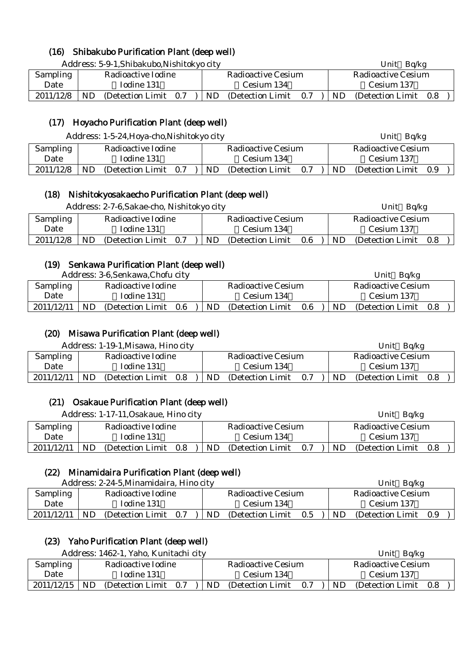## (16) Shibakubo Purification Plant (deep well)

Address: 5-9-1,Shibakubo,Nishitokyo city Unit Bq/kg

| Sampling  | Radioactive Iodine             | Radioactive Cesium             | Radioactive Cesium             |  |  |  |
|-----------|--------------------------------|--------------------------------|--------------------------------|--|--|--|
| Date      | Iodine 131                     | Cesium 134                     | Cesium 137                     |  |  |  |
| 2011/12/8 | ND<br>(Detection Limit)<br>0.7 | ND<br>(Detection Limit)<br>0.7 | ND<br>(Detection Limit)<br>0.8 |  |  |  |

## (17) Hoyacho Purification Plant (deep well)

Address: 1-5-24. Hova-cho, Nishitokyo city Unit Bq/kg

|                 | $1.4441$ cool. $1.641$ $\mu$ and $1.641$ $\mu$ and $1.641$ $\mu$ $\sigma$ and $\sigma$ |                   |     |  |                           |                   |     |            | $\mathbf{v}$              |     |  |  |
|-----------------|----------------------------------------------------------------------------------------|-------------------|-----|--|---------------------------|-------------------|-----|------------|---------------------------|-----|--|--|
| <b>Sampling</b> | Radioactive Iodine                                                                     |                   |     |  | <b>Radioactive Cesium</b> |                   |     |            | <b>Radioactive Cesium</b> |     |  |  |
| Date            | Todine 131                                                                             |                   |     |  | Cesium 134                |                   |     | Cesium 137 |                           |     |  |  |
| 2011/12/8       | <b>ND</b>                                                                              | (Detection Limit) | 0.7 |  | ND                        | (Detection Limit) | 0.7 | ND         | (Detection Limit)         | 0.9 |  |  |

## (18) Nishitokyosakaecho Purification Plant (deep well)

|           |           | Address: 2-7-6, Sakae-cho, Nishitokyo city |     | Unit $Bq/kg$              |                   |     |                           |                   |     |
|-----------|-----------|--------------------------------------------|-----|---------------------------|-------------------|-----|---------------------------|-------------------|-----|
| Sampling  |           | Radioactive Iodine                         |     | <b>Radioactive Cesium</b> |                   |     | <b>Radioactive Cesium</b> |                   |     |
| Date      |           | Iodine 131                                 |     | Cesium 134                |                   |     | Cesium 137                |                   |     |
| 2011/12/8 | <b>ND</b> | (Detection Limit)                          | 0.7 | ND.                       | (Detection Limit) | 0.6 | ND.                       | (Detection Limit) | 0.8 |

## (19) Senkawa Purification Plant (deep well)

 $\Delta$ ddress: 3-6, Senkawa, Chofu city Unit Bq/kg

| Auditess. 9-0, Stringwa, Chold City |                    |                   |     |     |                    |     |     | UIIL<br>או שט      |     |  |  |
|-------------------------------------|--------------------|-------------------|-----|-----|--------------------|-----|-----|--------------------|-----|--|--|
| <b>Sampling</b>                     | Radioactive Iodine |                   |     |     | Radioactive Cesium |     |     | Radioactive Cesium |     |  |  |
| Date                                | Iodine 131         |                   |     |     | Cesium 134         |     |     | Cesium 137         |     |  |  |
| 2011/12/11                          | ND.                | (Detection Limit) | 0.6 | ND. | (Detection Limit)  | 0.6 | ND. | (Detection Limit)  | 0.8 |  |  |

## (20) Misawa Purification Plant (deep well)

| Address: 1-19-1, Misawa, Hino city |    |                          |     |           |                    |     |            | Ba/kg<br>Unit      |     |  |
|------------------------------------|----|--------------------------|-----|-----------|--------------------|-----|------------|--------------------|-----|--|
| Sampling                           |    | Radioactive Iodine       |     |           | Radioactive Cesium |     |            | Radioactive Cesium |     |  |
| Date                               |    | Iodine 131<br>Cesium 134 |     |           |                    |     | Cesium 137 |                    |     |  |
| 2011/12/11                         | ND | (Detection Limit)        | 0.8 | <b>ND</b> | (Detection Limit)  | 0.7 | ND         | (Detection Limit)  | 0.8 |  |

## (21) Osakaue Purification Plant (deep well)

| Address: 1-17-11, Osakaue, Hino city |                    |                   |     |  |                    |                   |     |                    | Unit Bq/kg            |  |  |
|--------------------------------------|--------------------|-------------------|-----|--|--------------------|-------------------|-----|--------------------|-----------------------|--|--|
| Sampling                             | Radioactive Iodine |                   |     |  | Radioactive Cesium |                   |     | Radioactive Cesium |                       |  |  |
| Date                                 | Iodine 131         |                   |     |  | Cesium 134         |                   |     |                    | Cesium 137            |  |  |
| 2011/12/11                           | ND.                | (Detection Limit) | 0.8 |  | ND.                | (Detection Limit) | 0.7 | ND.                | (Detection Limit 0.8) |  |  |

## (22) Minamidaira Purification Plant (deep well)

|            | Address: 2-24-5, Minamidaira, Hino city |                       |  |  |                    |                   |     | Ba/kg<br>Unit      |           |                       |  |  |
|------------|-----------------------------------------|-----------------------|--|--|--------------------|-------------------|-----|--------------------|-----------|-----------------------|--|--|
| Sampling   | Radioactive Iodine                      |                       |  |  | Radioactive Cesium |                   |     | Radioactive Cesium |           |                       |  |  |
| Date       | Iodine 131                              |                       |  |  | Cesium 134         |                   |     | Cesium 137         |           |                       |  |  |
| 2011/12/11 | <b>ND</b>                               | (Detection Limit 0.7) |  |  | ND.                | (Detection Limit) | 0.5 |                    | <b>ND</b> | (Detection Limit 0.9) |  |  |

## (23) Yaho Purification Plant (deep well)

|                 | Address: 1462-1, Yaho, Kunitachi city |                                                          | Unit Ba/kg         |  |  |
|-----------------|---------------------------------------|----------------------------------------------------------|--------------------|--|--|
| <b>Sampling</b> | Radioactive Iodine                    | Radioactive Cesium                                       | Radioactive Cesium |  |  |
| Date            | Iodine 131                            | Cesium 134                                               | Cesium 137         |  |  |
| $2011/12/15$ ND | (Detection Limit 0.7)                 | $\vert$ ND (Detection Limit 0.7) ND (Detection Limit 0.8 |                    |  |  |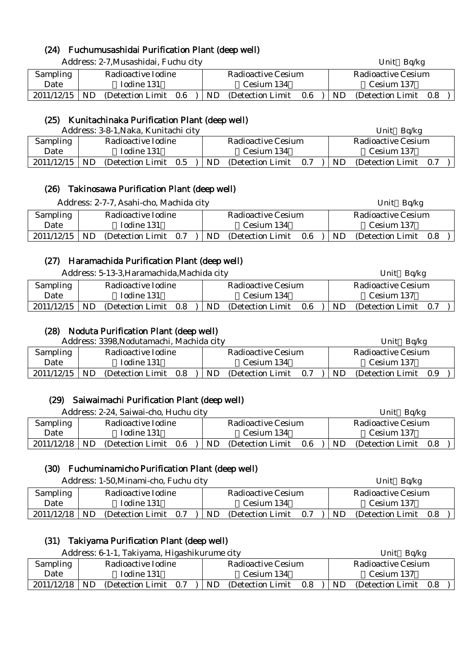## (24) Fuchumusashidai Purification Plant (deep well)

|                 | Address: 2-7, Musashidai, Fuchu city |                                    | Unit $Bq/kg$                   |  |  |  |
|-----------------|--------------------------------------|------------------------------------|--------------------------------|--|--|--|
| <b>Sampling</b> | Radioactive Iodine                   | <b>Radioactive Cesium</b>          | <b>Radioactive Cesium</b>      |  |  |  |
| Date            | Iodine 131                           | Cesium 134                         | Cesium 137                     |  |  |  |
| 2011/12/15      | ND.<br>(Detection Limit)<br>$0.6\,$  | ND<br>(Detection Limit)<br>$0.6\,$ | (Detection Limit)<br>ND<br>0.8 |  |  |  |

## (25) Kunitachinaka Purification Plant (deep well)

|                 | Address: 3-8-1, Naka, Kunitachi city |                                       | Bq/kg<br>Unit                  |  |  |
|-----------------|--------------------------------------|---------------------------------------|--------------------------------|--|--|
| <b>Sampling</b> | Radioactive Iodine                   | Radioactive Cesium                    | Radioactive Cesium             |  |  |
| Date            | Iodine 131                           | Cesium 134                            | Cesium 137                     |  |  |
| 2011/12/15      | ND<br>(Detection Limit 0.5)          | <b>ND</b><br>(Detection Limit)<br>0.7 | ND<br>(Detection Limit)<br>0.7 |  |  |

## (26) Takinosawa Purification Plant (deep well)

|            | Address: 2-7-7, Asahi-cho, Machida city |                       |  |                    |                   |     |                    | Unit Bq/kg            |  |  |  |
|------------|-----------------------------------------|-----------------------|--|--------------------|-------------------|-----|--------------------|-----------------------|--|--|--|
| Sampling   | Radioactive Iodine                      |                       |  | Radioactive Cesium |                   |     | Radioactive Cesium |                       |  |  |  |
| Date       |                                         | Iodine 131            |  | Cesium 134         |                   |     |                    | Cesium 137            |  |  |  |
| 2011/12/15 | <b>ND</b>                               | (Detection Limit 0.7) |  | ND.                | (Detection Limit) | 0.6 | <b>ND</b>          | (Detection Limit 0.8) |  |  |  |
|            |                                         |                       |  |                    |                   |     |                    |                       |  |  |  |

## (27) Haramachida Purification Plant (deep well)

Address: 5-13-3,Haramachida,Machida city Unit Bq/kg

|                 | $\ldots$ . The same $\ldots$ |                   |     |  |                    |                   |     |                    | U                 |     |  |
|-----------------|------------------------------|-------------------|-----|--|--------------------|-------------------|-----|--------------------|-------------------|-----|--|
| <b>Sampling</b> | Radioactive Iodine           |                   |     |  | Radioactive Cesium |                   |     | Radioactive Cesium |                   |     |  |
| Date            | Iodine 131                   |                   |     |  | Cesium 134         |                   |     |                    | Cesium 137        |     |  |
| 2011/12/15      | ND.                          | (Detection Limit) | 0.8 |  | ND.                | (Detection Limit) | 0.6 | ND.                | (Detection Limit) | 0.7 |  |

## (28) Noduta Purification Plant (deep well)

|                 |                                          | Address: 3398, Nodutamachi, Machida city |     |  |    |                    |     |           | Bq/kg<br>Unit         |  |
|-----------------|------------------------------------------|------------------------------------------|-----|--|----|--------------------|-----|-----------|-----------------------|--|
| <b>Sampling</b> | Radioactive Iodine<br>Iodine 131<br>Date |                                          |     |  |    | Radioactive Cesium |     |           | Radioactive Cesium    |  |
|                 |                                          |                                          |     |  |    | Cesium 134         |     |           | Cesium 137            |  |
| 2011/12/15      | <b>ND</b>                                | (Detection Limit)                        | 0.8 |  | ND | (Detection Limit)  | 0.7 | <b>ND</b> | (Detection Limit 0.9) |  |

## (29) Saiwaimachi Purification Plant (deep well)

Address: 2-24, Saiwai-cho, Huchu city **Example 2018** Unit Bq/kg

|            |           |                    |     |    |                    |     |    | $   -$<br>$   -$   |  |
|------------|-----------|--------------------|-----|----|--------------------|-----|----|--------------------|--|
| Sampling   |           | Radioactive Iodine |     |    | Radioactive Cesium |     |    | Radioactive Cesium |  |
| Date       |           | Iodine 131         |     |    | Cesium 134         |     |    | Cesium 137         |  |
| 2011/12/18 | <b>ND</b> | (Detection Limit)  | 0.6 | ND | (Detection Limit)  | 0.6 | ND | (Detection Limit)  |  |

## (30) Fuchuminamicho Purification Plant (deep well)

Address: 1-50, Minami-cho, Fuchu city Unit Bq/kg

| <b>Sampling</b> |    | Radioactive Iodine    |  |    | Radioactive Cesium |     |    | Radioactive Cesium |       |  |
|-----------------|----|-----------------------|--|----|--------------------|-----|----|--------------------|-------|--|
| Date            |    | Iodine 131            |  |    | Cesium 134         |     |    | Cesium 137         |       |  |
| 2011/12/18      | ND | (Detection Limit 0.7) |  | ND | (Detection Limit)  | 0.7 | ND | (Detection Limit)  | - 0.8 |  |

## (31) Takiyama Purification Plant (deep well)

|                 |                    | Address: 6-1-1, Takiyama, Higashikurume city |  |                    |                   |     |  |           | Ba/kg<br>Unit         |  |
|-----------------|--------------------|----------------------------------------------|--|--------------------|-------------------|-----|--|-----------|-----------------------|--|
| <b>Sampling</b> | Radioactive Iodine |                                              |  | Radioactive Cesium |                   |     |  |           | Radioactive Cesium    |  |
| Date            |                    | Iodine 131                                   |  |                    | Cesium 134        |     |  |           | Cesium 137            |  |
| 2011/12/18      | ND                 | (Detection Limit 0.7)                        |  | ND.                | (Detection Limit) | 0.8 |  | <b>ND</b> | (Detection Limit 0.8) |  |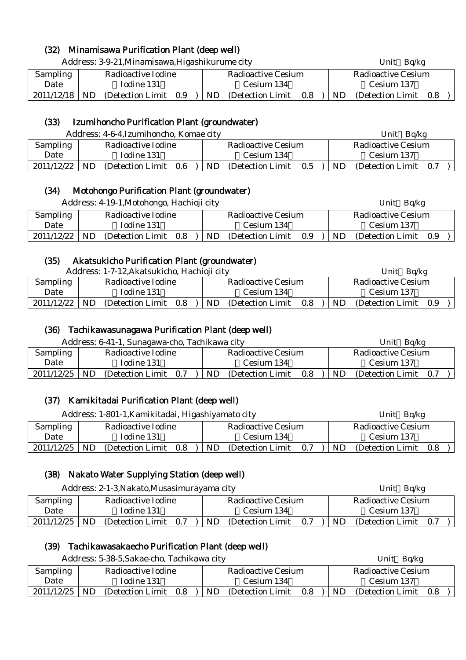## (32) Minamisawa Purification Plant (deep well)

|                 | Address: 3-9-21, Minamisawa, Higashikurume city |                                 | Unit $Bq/kg$                 |
|-----------------|-------------------------------------------------|---------------------------------|------------------------------|
| <b>Sampling</b> | Radioactive Iodine                              | <b>Radioactive Cesium</b>       | <b>Radioactive Cesium</b>    |
| Date            | Iodine 131                                      | Cesium 134                      | Cesium 137                   |
| 2011/12/18      | ND.<br>(Detection Limit 0.9)                    | ND.<br>(Detection Limit)<br>0.8 | (Detection Limit 0.8)<br>ND. |

#### (33) Izumihoncho Purification Plant (groundwater)

|                 | Address: 4-6-4, Izumihoncho, Komae city<br>Radioactive Iodine<br>Radioactive Cesium |                   |                    |    |                   |     |     | Bq/kg<br>Unit     |     |
|-----------------|-------------------------------------------------------------------------------------|-------------------|--------------------|----|-------------------|-----|-----|-------------------|-----|
| <b>Sampling</b> |                                                                                     |                   | Radioactive Cesium |    |                   |     |     |                   |     |
| Date            |                                                                                     | Iodine 131        |                    |    | Cesium 134        |     |     | Cesium 137        |     |
| 2011/12/22      | ND                                                                                  | (Detection Limit) | 0.6                | ND | (Detection Limit) | 0.5 | ND. | (Detection Limit) | 0.7 |

## (34) Motohongo Purification Plant (groundwater)

|            |     | Address: 4-19-1, Motohongo, Hachioji city |  |     |                    |     |     | Unit Bq/kg         |     |  |
|------------|-----|-------------------------------------------|--|-----|--------------------|-----|-----|--------------------|-----|--|
| Sampling   |     | Radioactive Iodine                        |  |     | Radioactive Cesium |     |     | Radioactive Cesium |     |  |
| Date       |     | Iodine 131                                |  |     | Cesium 134         |     |     | Cesium 137         |     |  |
| 2011/12/22 | ND. | (Detection Limit 0.8)                     |  | ND. | (Detection Limit)  | 0.9 | ND. | (Detection Limit)  | 0.9 |  |

#### (35) Akatsukicho Purification Plant (groundwater)

|                 |    | Address: 1-7-12, Akatsukicho, Hachioji city |     |                    |                   |     |                    | Ba/kg<br>Unit     |     |  |
|-----------------|----|---------------------------------------------|-----|--------------------|-------------------|-----|--------------------|-------------------|-----|--|
| <b>Sampling</b> |    | Radioactive Iodine                          |     | Radioactive Cesium |                   |     | Radioactive Cesium |                   |     |  |
| Date            |    | Iodine 131                                  |     |                    | Cesium 134        |     |                    | Cesium 137        |     |  |
| 2011/12/22      | ND | (Detection Limit)                           | 0.8 | ND.                | (Detection Limit) | 0.8 | <b>ND</b>          | (Detection Limit) | 0.9 |  |

#### (36) Tachikawasunagawa Purification Plant (deep well)

|  |  |  | Address: 6-41-1, Sunagawa-cho, Tachikawa city |  |  |  |
|--|--|--|-----------------------------------------------|--|--|--|
|  |  |  |                                               |  |  |  |

| Sampling   |    | Radioactive Iodine |     |    | Radioactive Cesium |     |     | Radioactive Cesium |  |
|------------|----|--------------------|-----|----|--------------------|-----|-----|--------------------|--|
| Date       |    | Iodine 131         |     |    | Cesium 134         |     |     | Cesium 137         |  |
| 2011/12/25 | ND | (Detection Limit)  | 0.7 | ND | (Detection Limit)  | 0.8 | ND. | (Detection Limit)  |  |

Unit Bq/kg

#### (37) Kamikitadai Purification Plant (deep well)

 $\mathsf{I}$ 

|            | Address: 1-801-1, Kamikitadai, Higashiyamato city<br>Radioactive Iodine<br>Radioactive Cesium<br>Iodine 131<br>Cesium 134 |                       |  |  |     |                   |     |     | Unit $Bq/kg$          |  |
|------------|---------------------------------------------------------------------------------------------------------------------------|-----------------------|--|--|-----|-------------------|-----|-----|-----------------------|--|
| Sampling   |                                                                                                                           |                       |  |  |     |                   |     |     | Radioactive Cesium    |  |
| Date       |                                                                                                                           |                       |  |  |     |                   |     |     | Cesium 137            |  |
| 2011/12/25 | ND.                                                                                                                       | (Detection Limit 0.8) |  |  | ND. | (Detection Limit) | 0.7 | ND. | (Detection Limit 0.8) |  |

## (38) Nakato Water Supplying Station (deep well)

|            |                                            | Address: 2-1-3, Nakato, Musasimurayama city |  |  |  |                    |     |     | Unit $Bq/kg$       |     |
|------------|--------------------------------------------|---------------------------------------------|--|--|--|--------------------|-----|-----|--------------------|-----|
| Sampling   |                                            | Radioactive Iodine                          |  |  |  | Radioactive Cesium |     |     | Radioactive Cesium |     |
| Date       |                                            | Iodine 131                                  |  |  |  | Cesium 134         |     |     | Cesium 137         |     |
| 2011/12/25 | N <sub>D</sub><br>(Detection Limit)<br>0.7 |                                             |  |  |  | (Detection Limit)  | 0.7 | ND. | (Detection Limit)  | 0.7 |

## (39) Tachikawasakaecho Purification Plant (deep well)

|                 | Address: 5-38-5, Sakae-cho, Tachikawa city | Unit Bq/kg                          |                             |  |  |
|-----------------|--------------------------------------------|-------------------------------------|-----------------------------|--|--|
| <b>Sampling</b> | Radioactive Iodine                         | Radioactive Cesium                  | <b>Radioactive Cesium</b>   |  |  |
| Date            | Iodine 131                                 | Cesium 134                          | Cesium 137                  |  |  |
| 2011/12/25      | <b>ND</b><br>(Detection Limit 0.8)         | ND.<br>(Detection Limit)<br>$0.8\,$ | (Detection Limit 0.8)<br>ND |  |  |